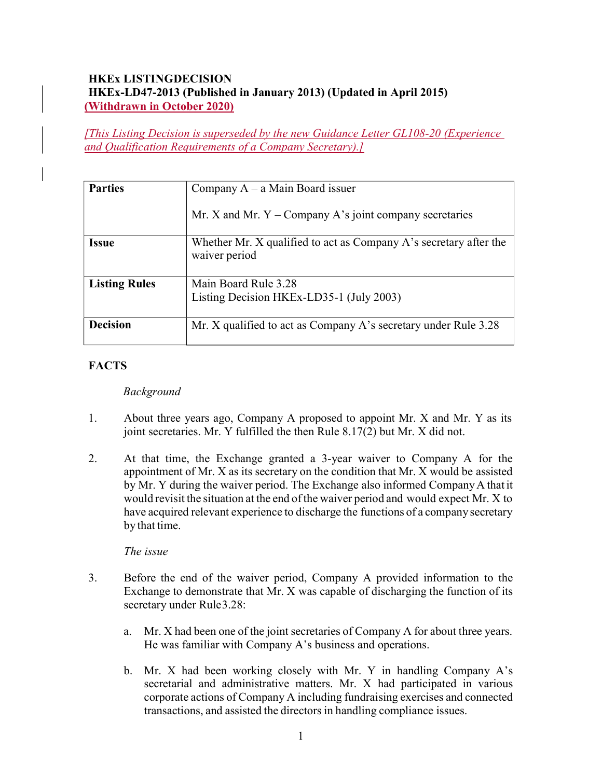## **HKEX LISTINGDECISION** HKEx-LD47-2013 (Published in January 2013) (Updated in April 2015) (Withdrawn in October 2020)

[This Listing Decision is superseded by the new Guidance Letter GL108-20 (Experience and Qualification Requirements of a Company Secretary).]

| <b>Parties</b>       | Company $A - a$ Main Board issuer                                                  |
|----------------------|------------------------------------------------------------------------------------|
|                      | Mr. X and Mr. $Y$ – Company A's joint company secretaries                          |
| <b>Issue</b>         | Whether Mr. X qualified to act as Company A's secretary after the<br>waiver period |
| <b>Listing Rules</b> | Main Board Rule 3.28                                                               |
|                      | Listing Decision HKEx-LD35-1 (July 2003)                                           |
| <b>Decision</b>      | Mr. X qualified to act as Company A's secretary under Rule 3.28                    |

# **FACTS**

### Background

- 1. About three years ago, Company A proposed to appoint Mr. X and Mr. Y as its joint secretaries. Mr. Y fulfilled the then Rule 8.17(2) but Mr. X did not.
- 2. At that time, the Exchange granted a 3-year waiver to Company A for the appointment of Mr. X as its secretary on the condition that Mr. X would be assisted by Mr. Y during the waiver period. The Exchange also informed Company A that it would revisit the situation at the end of the waiver period and would expect Mr. X to have acquired relevant experience to discharge the functions of a company secretary by that time.

#### The issue

- 3. Before the end of the waiver period, Company A provided information to the Exchange to demonstrate that Mr. X was capable of discharging the function of its secretary under Rule 3.28:
	- a. Mr. X had been one of the joint secretaries of Company A for about three years. He was familiar with Company A's business and operations.
	- b. Mr. X had been working closely with Mr. Y in handling Company A's secretarial and administrative matters. Mr. X had participated in various corporate actions of Company A including fundraising exercises and connected transactions, and assisted the directors in handling compliance issues.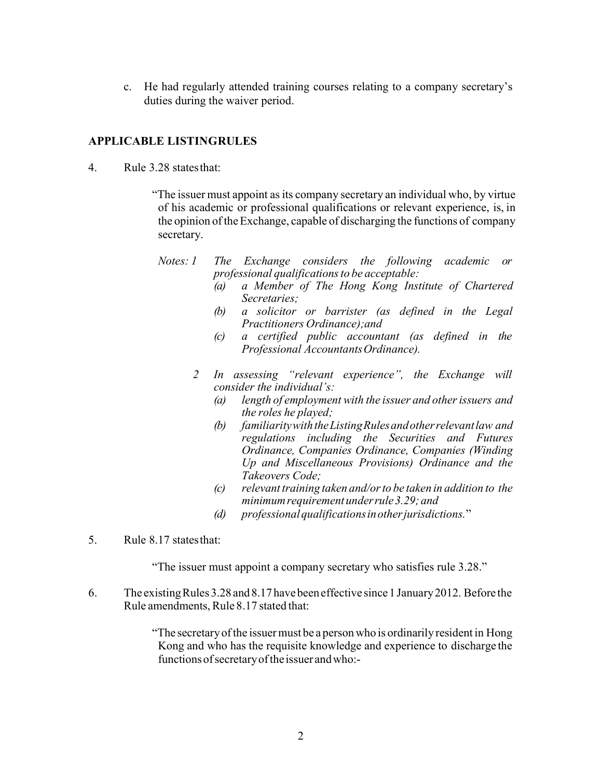c. He had regularly attended training courses relating to a company secretary's duties during the waiver period.

### **APPLICABLE LISTINGRULES**

4. Rule 3.28 states that:

"The issuer must appoint as its company secretary an individual who, by virtue of his academic or professional qualifications or relevant experience, is, in the opinion of the Exchange, capable of discharging the functions of company secretary.

- Notes: 1 The Exchange considers the following academic or professional qualifications to be acceptable:
	- (a) a Member of The Hong Kong Institute of Chartered Secretaries;
	- (b) a solicitor or barrister (as defined in the Legal Practitioners Ordinance);and
	- (c) a certified public accountant (as defined in the Professional Accountants Ordinance).
	- 2 In assessing "relevant experience", the Exchange will consider the individual's:
		- (a) length of employment with the issuer and other issuers and the roles he played;
		- (b) familiarity with the Listing Rules and other relevant law and regulations including the Securities and Futures Ordinance, Companies Ordinance, Companies (Winding Up and Miscellaneous Provisions) Ordinance and the Takeovers Code;
		- (c) relevant training taken and/or to be taken in addition to the minimum requirement under rule 3.29; and
		- (d) professional qualifications in other jurisdictions."
- 5. Rule 8.17 states that:

"The issuer must appoint a company secretary who satisfies rule 3.28."

6. The existing Rules 3.28 and 8.17 have been effective since 1 January 2012. Before the Rule amendments, Rule 8.17 stated that:

> "The secretary of the issuer must be a person who is ordinarily resident in Hong Kong and who has the requisite knowledge and experience to discharge the functions of secretary of the issuer and who:-